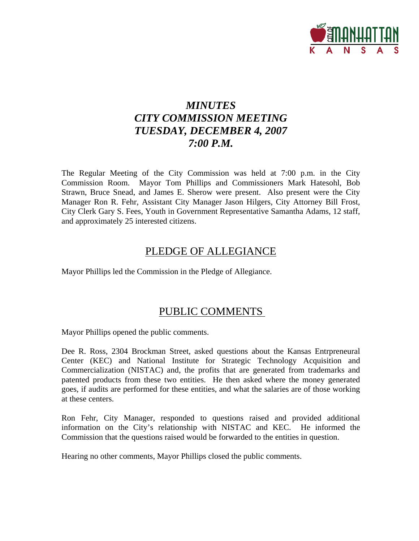

# *MINUTES CITY COMMISSION MEETING TUESDAY, DECEMBER 4, 2007 7:00 P.M.*

The Regular Meeting of the City Commission was held at 7:00 p.m. in the City Commission Room. Mayor Tom Phillips and Commissioners Mark Hatesohl, Bob Strawn, Bruce Snead, and James E. Sherow were present. Also present were the City Manager Ron R. Fehr, Assistant City Manager Jason Hilgers, City Attorney Bill Frost, City Clerk Gary S. Fees, Youth in Government Representative Samantha Adams, 12 staff, and approximately 25 interested citizens.

## PLEDGE OF ALLEGIANCE

Mayor Phillips led the Commission in the Pledge of Allegiance.

## PUBLIC COMMENTS

Mayor Phillips opened the public comments.

Dee R. Ross, 2304 Brockman Street, asked questions about the Kansas Entrpreneural Center (KEC) and National Institute for Strategic Technology Acquisition and Commercialization (NISTAC) and, the profits that are generated from trademarks and patented products from these two entities. He then asked where the money generated goes, if audits are performed for these entities, and what the salaries are of those working at these centers.

Ron Fehr, City Manager, responded to questions raised and provided additional information on the City's relationship with NISTAC and KEC. He informed the Commission that the questions raised would be forwarded to the entities in question.

Hearing no other comments, Mayor Phillips closed the public comments.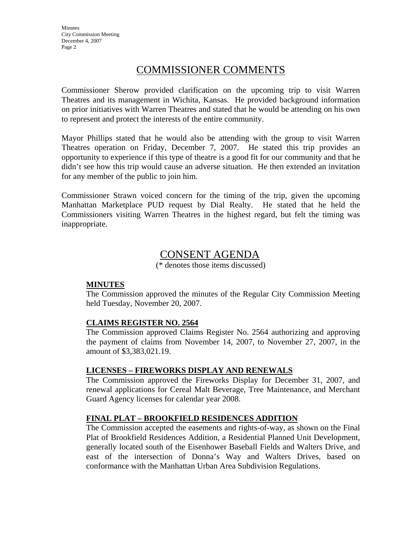## COMMISSIONER COMMENTS

Commissioner Sherow provided clarification on the upcoming trip to visit Warren Theatres and its management in Wichita, Kansas. He provided background information on prior initiatives with Warren Theatres and stated that he would be attending on his own to represent and protect the interests of the entire community.

Mayor Phillips stated that he would also be attending with the group to visit Warren Theatres operation on Friday, December 7, 2007. He stated this trip provides an opportunity to experience if this type of theatre is a good fit for our community and that he didn't see how this trip would cause an adverse situation. He then extended an invitation for any member of the public to join him.

Commissioner Strawn voiced concern for the timing of the trip, given the upcoming Manhattan Marketplace PUD request by Dial Realty. He stated that he held the Commissioners visiting Warren Theatres in the highest regard, but felt the timing was inappropriate.

# CONSENT AGENDA

(\* denotes those items discussed)

## **MINUTES**

The Commission approved the minutes of the Regular City Commission Meeting held Tuesday, November 20, 2007.

## **CLAIMS REGISTER NO. 2564**

The Commission approved Claims Register No. 2564 authorizing and approving the payment of claims from November 14, 2007, to November 27, 2007, in the amount of \$3,383,021.19.

### **LICENSES – FIREWORKS DISPLAY AND RENEWALS**

The Commission approved the Fireworks Display for December 31, 2007, and renewal applications for Cereal Malt Beverage, Tree Maintenance, and Merchant Guard Agency licenses for calendar year 2008.

## **FINAL PLAT – BROOKFIELD RESIDENCES ADDITION**

The Commission accepted the easements and rights-of-way, as shown on the Final Plat of Brookfield Residences Addition, a Residential Planned Unit Development, generally located south of the Eisenhower Baseball Fields and Walters Drive, and east of the intersection of Donna's Way and Walters Drives, based on conformance with the Manhattan Urban Area Subdivision Regulations.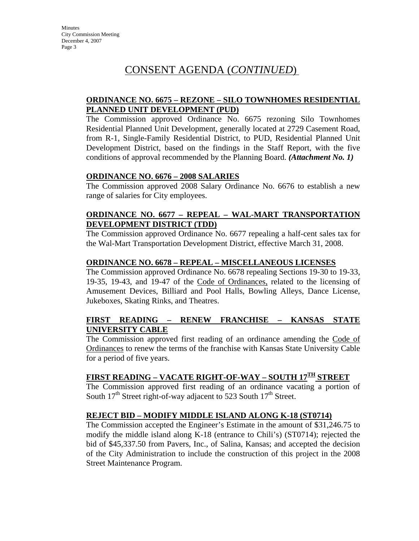## CONSENT AGENDA (*CONTINUED*)

## **ORDINANCE NO. 6675 – REZONE – SILO TOWNHOMES RESIDENTIAL PLANNED UNIT DEVELOPMENT (PUD)**

The Commission approved Ordinance No. 6675 rezoning Silo Townhomes Residential Planned Unit Development, generally located at 2729 Casement Road, from R-1, Single-Family Residential District, to PUD, Residential Planned Unit Development District, based on the findings in the Staff Report, with the five conditions of approval recommended by the Planning Board. *(Attachment No. 1)*

### **ORDINANCE NO. 6676 – 2008 SALARIES**

The Commission approved 2008 Salary Ordinance No. 6676 to establish a new range of salaries for City employees.

## **ORDINANCE NO. 6677 – REPEAL – WAL-MART TRANSPORTATION DEVELOPMENT DISTRICT (TDD)**

The Commission approved Ordinance No. 6677 repealing a half-cent sales tax for the Wal-Mart Transportation Development District, effective March 31, 2008.

### **ORDINANCE NO. 6678 – REPEAL – MISCELLANEOUS LICENSES**

The Commission approved Ordinance No. 6678 repealing Sections 19-30 to 19-33, 19-35, 19-43, and 19-47 of the Code of Ordinances, related to the licensing of Amusement Devices, Billiard and Pool Halls, Bowling Alleys, Dance License, Jukeboxes, Skating Rinks, and Theatres.

## **FIRST READING – RENEW FRANCHISE – KANSAS STATE UNIVERSITY CABLE**

The Commission approved first reading of an ordinance amending the Code of Ordinances to renew the terms of the franchise with Kansas State University Cable for a period of five years.

## **FIRST READING – VACATE RIGHT-OF-WAY – SOUTH 17TH STREET**

The Commission approved first reading of an ordinance vacating a portion of South  $17<sup>th</sup>$  Street right-of-way adjacent to 523 South  $17<sup>th</sup>$  Street.

## **REJECT BID – MODIFY MIDDLE ISLAND ALONG K-18 (ST0714)**

The Commission accepted the Engineer's Estimate in the amount of \$31,246.75 to modify the middle island along K-18 (entrance to Chili's) (ST0714); rejected the bid of \$45,337.50 from Pavers, Inc., of Salina, Kansas; and accepted the decision of the City Administration to include the construction of this project in the 2008 Street Maintenance Program.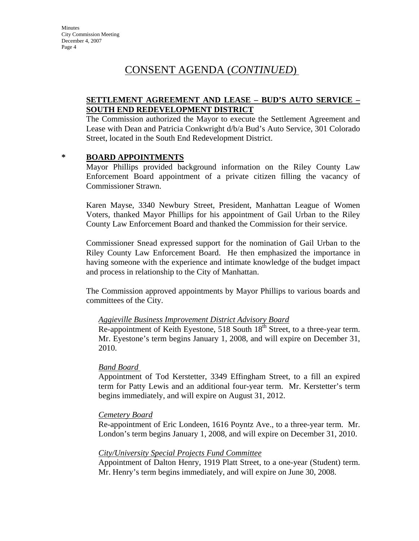## CONSENT AGENDA (*CONTINUED*)

## **SETTLEMENT AGREEMENT AND LEASE – BUD'S AUTO SERVICE – SOUTH END REDEVELOPMENT DISTRICT**

The Commission authorized the Mayor to execute the Settlement Agreement and Lease with Dean and Patricia Conkwright d/b/a Bud's Auto Service, 301 Colorado Street, located in the South End Redevelopment District.

### **\* BOARD APPOINTMENTS**

Mayor Phillips provided background information on the Riley County Law Enforcement Board appointment of a private citizen filling the vacancy of Commissioner Strawn.

Karen Mayse, 3340 Newbury Street, President, Manhattan League of Women Voters, thanked Mayor Phillips for his appointment of Gail Urban to the Riley County Law Enforcement Board and thanked the Commission for their service.

Commissioner Snead expressed support for the nomination of Gail Urban to the Riley County Law Enforcement Board. He then emphasized the importance in having someone with the experience and intimate knowledge of the budget impact and process in relationship to the City of Manhattan.

The Commission approved appointments by Mayor Phillips to various boards and committees of the City.

### *Aggieville Business Improvement District Advisory Board*

Re-appointment of Keith Eyestone, 518 South 18<sup>th</sup> Street, to a three-year term. Mr. Eyestone's term begins January 1, 2008, and will expire on December 31, 2010.

### *Band Board*

Appointment of Tod Kerstetter, 3349 Effingham Street, to a fill an expired term for Patty Lewis and an additional four-year term. Mr. Kerstetter's term begins immediately, and will expire on August 31, 2012.

### *Cemetery Board*

Re-appointment of Eric Londeen, 1616 Poyntz Ave., to a three-year term. Mr. London's term begins January 1, 2008, and will expire on December 31, 2010.

## *City/University Special Projects Fund Committee*

Appointment of Dalton Henry, 1919 Platt Street, to a one-year (Student) term. Mr. Henry's term begins immediately, and will expire on June 30, 2008.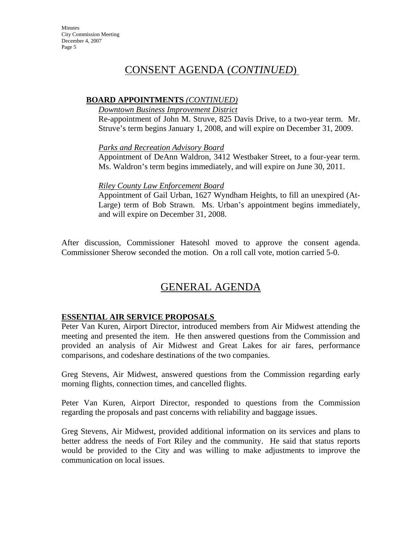## CONSENT AGENDA (*CONTINUED*)

### **BOARD APPOINTMENTS** *(CONTINUED)*

*Downtown Business Improvement District*

Re-appointment of John M. Struve, 825 Davis Drive, to a two-year term. Mr. Struve's term begins January 1, 2008, and will expire on December 31, 2009.

*Parks and Recreation Advisory Board*

Appointment of DeAnn Waldron, 3412 Westbaker Street, to a four-year term. Ms. Waldron's term begins immediately, and will expire on June 30, 2011.

#### *Riley County Law Enforcement Board*

Appointment of Gail Urban, 1627 Wyndham Heights, to fill an unexpired (At-Large) term of Bob Strawn. Ms. Urban's appointment begins immediately, and will expire on December 31, 2008.

After discussion, Commissioner Hatesohl moved to approve the consent agenda. Commissioner Sherow seconded the motion. On a roll call vote, motion carried 5-0.

# GENERAL AGENDA

## **ESSENTIAL AIR SERVICE PROPOSALS**

Peter Van Kuren, Airport Director, introduced members from Air Midwest attending the meeting and presented the item. He then answered questions from the Commission and provided an analysis of Air Midwest and Great Lakes for air fares, performance comparisons, and codeshare destinations of the two companies.

Greg Stevens, Air Midwest, answered questions from the Commission regarding early morning flights, connection times, and cancelled flights.

Peter Van Kuren, Airport Director, responded to questions from the Commission regarding the proposals and past concerns with reliability and baggage issues.

Greg Stevens, Air Midwest, provided additional information on its services and plans to better address the needs of Fort Riley and the community. He said that status reports would be provided to the City and was willing to make adjustments to improve the communication on local issues.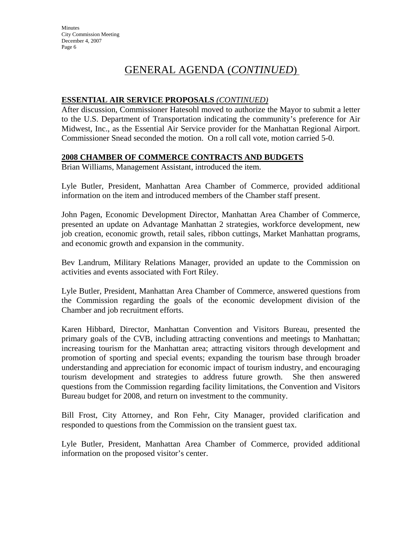## GENERAL AGENDA (*CONTINUED*)

### **ESSENTIAL AIR SERVICE PROPOSALS** *(CONTINUED)*

After discussion, Commissioner Hatesohl moved to authorize the Mayor to submit a letter to the U.S. Department of Transportation indicating the community's preference for Air Midwest, Inc., as the Essential Air Service provider for the Manhattan Regional Airport. Commissioner Snead seconded the motion. On a roll call vote, motion carried 5-0.

### **2008 CHAMBER OF COMMERCE CONTRACTS AND BUDGETS**

Brian Williams, Management Assistant, introduced the item.

Lyle Butler, President, Manhattan Area Chamber of Commerce, provided additional information on the item and introduced members of the Chamber staff present.

John Pagen, Economic Development Director, Manhattan Area Chamber of Commerce, presented an update on Advantage Manhattan 2 strategies, workforce development, new job creation, economic growth, retail sales, ribbon cuttings, Market Manhattan programs, and economic growth and expansion in the community.

Bev Landrum, Military Relations Manager, provided an update to the Commission on activities and events associated with Fort Riley.

Lyle Butler, President, Manhattan Area Chamber of Commerce, answered questions from the Commission regarding the goals of the economic development division of the Chamber and job recruitment efforts.

Karen Hibbard, Director, Manhattan Convention and Visitors Bureau, presented the primary goals of the CVB, including attracting conventions and meetings to Manhattan; increasing tourism for the Manhattan area; attracting visitors through development and promotion of sporting and special events; expanding the tourism base through broader understanding and appreciation for economic impact of tourism industry, and encouraging tourism development and strategies to address future growth. She then answered questions from the Commission regarding facility limitations, the Convention and Visitors Bureau budget for 2008, and return on investment to the community.

Bill Frost, City Attorney, and Ron Fehr, City Manager, provided clarification and responded to questions from the Commission on the transient guest tax.

Lyle Butler, President, Manhattan Area Chamber of Commerce, provided additional information on the proposed visitor's center.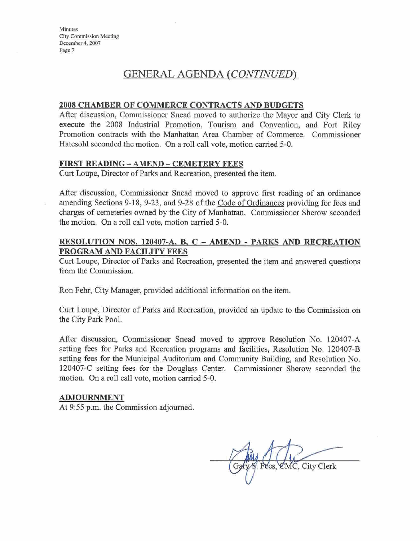## **GFNERAL AGENDA** *!CONTINUED)*

#### **2008 CHAMBER OF COMMERCE CONTRACTS AND BUDGETS**

After discussion, Commissioner Snead moved to authorize the Mayor and City Clerk to execute the 2008 Industrial Promotion, Tourism and Convention, and Fort Riley Promotion **conkacts** wi& **tha** Manhattan *Area* **Chamber** of Commerce. Commfssioner Hatesohl seconded the motion. On a roll call vote, motion carried 5-0.

#### **FIRST** READING - AMEND - **CEMETERY XEES**

Curt **Lonpe,** Director of Parks and Recreation, presented the item.

After discussion, Commissioner Snead moved to approve first reading of an ordinance amending Sections 9-18, 9-23, and 9-28 of the Code of Ordinances providing for fees and charges of cemeteries owned by the City of Manhattan. Commissioner Sherow seconded the motion. On a roll call vote, motion carried 5-0.

### **RESOLUTION NOS. 120407-A. B, C** - **AMEND** - **PARKS AND RECREATION PROGRAM AND FACILITY FEES**

Curt Loupe, Director of Parks and Recreation, presented the item and answered questions from the Commission.

Ron **Fehr,** City Manager, provided additional information **on** the item,

Curt Loupe, Director of Parks and Recreation, provided an update to the Commission on **the** City Park Pool.

After discussion, Commissioner Snead moved to approve Resolution No. 120407-A **setting** fees for Parks and Recreation programs and facilities, Resolution No, 120407-B *setting* fees for the Municipal Auditorium and Community Building, and Resolution No. 120407-C setting fees for the Douglass Center. Commissioner Sherow seconded the motion. On a roll call vote, motion carried 5-0.

#### ADJOURNMENT

At 9:55 p.m. the Commission adjourned.

Gary S. Fees, CMC, City Clerk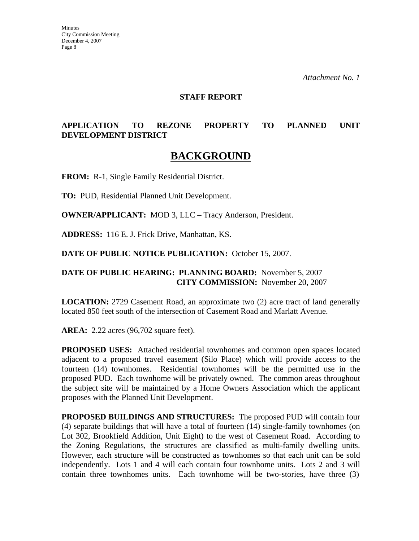### **STAFF REPORT**

## **APPLICATION TO REZONE PROPERTY TO PLANNED UNIT DEVELOPMENT DISTRICT**

## **BACKGROUND**

**FROM:** R-1, Single Family Residential District.

**TO:** PUD, Residential Planned Unit Development.

**OWNER/APPLICANT:** MOD 3, LLC – Tracy Anderson, President.

**ADDRESS:** 116 E. J. Frick Drive, Manhattan, KS.

**DATE OF PUBLIC NOTICE PUBLICATION:** October 15, 2007.

## **DATE OF PUBLIC HEARING: PLANNING BOARD:** November 5, 2007 **CITY COMMISSION:** November 20, 2007

**LOCATION:** 2729 Casement Road, an approximate two (2) acre tract of land generally located 850 feet south of the intersection of Casement Road and Marlatt Avenue.

**AREA:** 2.22 acres (96,702 square feet).

**PROPOSED USES:** Attached residential townhomes and common open spaces located adjacent to a proposed travel easement (Silo Place) which will provide access to the fourteen (14) townhomes. Residential townhomes will be the permitted use in the proposed PUD. Each townhome will be privately owned. The common areas throughout the subject site will be maintained by a Home Owners Association which the applicant proposes with the Planned Unit Development.

**PROPOSED BUILDINGS AND STRUCTURES:** The proposed PUD will contain four (4) separate buildings that will have a total of fourteen (14) single-family townhomes (on Lot 302, Brookfield Addition, Unit Eight) to the west of Casement Road. According to the Zoning Regulations, the structures are classified as multi-family dwelling units. However, each structure will be constructed as townhomes so that each unit can be sold independently. Lots 1 and 4 will each contain four townhome units. Lots 2 and 3 will contain three townhomes units. Each townhome will be two-stories, have three (3)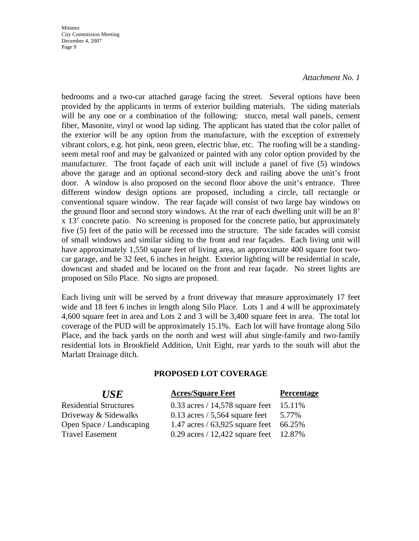#### *Attachment No. 1*

bedrooms and a two-car attached garage facing the street. Several options have been provided by the applicants in terms of exterior building materials. The siding materials will be any one or a combination of the following: stucco, metal wall panels, cement fiber, Masonite, vinyl or wood lap siding. The applicant has stated that the color pallet of the exterior will be any option from the manufacture, with the exception of extremely vibrant colors, e.g. hot pink, neon green, electric blue, etc. The roofing will be a standingseem metal roof and may be galvanized or painted with any color option provided by the manufacturer. The front façade of each unit will include a panel of five (5) windows above the garage and an optional second-story deck and railing above the unit's front door. A window is also proposed on the second floor above the unit's entrance. Three different window design options are proposed, including a circle, tall rectangle or conventional square window. The rear façade will consist of two large bay windows on the ground floor and second story windows. At the rear of each dwelling unit will be an 8' x 13' concrete patio. No screening is proposed for the concrete patio, but approximately five (5) feet of the patio will be recessed into the structure. The side facades will consist of small windows and similar siding to the front and rear façades. Each living unit will have approximately 1,550 square feet of living area, an approximate 400 square foot twocar garage, and be 32 feet, 6 inches in height. Exterior lighting will be residential in scale, downcast and shaded and be located on the front and rear façade. No street lights are proposed on Silo Place. No signs are proposed.

Each living unit will be served by a front driveway that measure approximately 17 feet wide and 18 feet 6 inches in length along Silo Place. Lots 1 and 4 will be approximately 4,600 square feet in area and Lots 2 and 3 will be 3,400 square feet in area. The total lot coverage of the PUD will be approximately 15.1%. Each lot will have frontage along Silo Place, and the back yards on the north and west will abut single-family and two-family residential lots in Brookfield Addition, Unit Eight, rear yards to the south will abut the Marlatt Drainage ditch.

### **PROPOSED LOT COVERAGE**

| <b>USE</b>                    | <b>Acres/Square Feet</b>                    | <b>Percentage</b> |
|-------------------------------|---------------------------------------------|-------------------|
| <b>Residential Structures</b> | 0.33 acres / 14,578 square feet $15.11\%$   |                   |
| Driveway & Sidewalks          | 0.13 acres $/ 5,564$ square feet 5.77%      |                   |
| Open Space / Landscaping      | 1.47 acres / $63,925$ square feet $66.25\%$ |                   |
| <b>Travel Easement</b>        | 0.29 acres / 12,422 square feet 12.87%      |                   |
|                               |                                             |                   |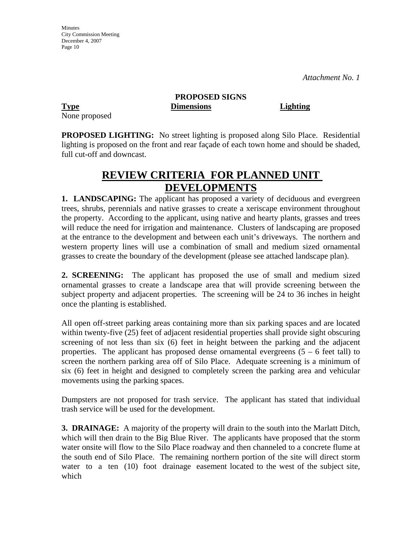None proposed

**PROPOSED SIGNS Type Dimensions Lighting**

**PROPOSED LIGHTING:** No street lighting is proposed along Silo Place. Residential lighting is proposed on the front and rear façade of each town home and should be shaded, full cut-off and downcast.

# **REVIEW CRITERIA FOR PLANNED UNIT DEVELOPMENTS**

**1. LANDSCAPING:** The applicant has proposed a variety of deciduous and evergreen trees, shrubs, perennials and native grasses to create a xeriscape environment throughout the property. According to the applicant, using native and hearty plants, grasses and trees will reduce the need for irrigation and maintenance. Clusters of landscaping are proposed at the entrance to the development and between each unit's driveways. The northern and western property lines will use a combination of small and medium sized ornamental grasses to create the boundary of the development (please see attached landscape plan).

**2. SCREENING:** The applicant has proposed the use of small and medium sized ornamental grasses to create a landscape area that will provide screening between the subject property and adjacent properties. The screening will be 24 to 36 inches in height once the planting is established.

All open off-street parking areas containing more than six parking spaces and are located within twenty-five (25) feet of adjacent residential properties shall provide sight obscuring screening of not less than six (6) feet in height between the parking and the adjacent properties. The applicant has proposed dense ornamental evergreens  $(5 - 6$  feet tall) to screen the northern parking area off of Silo Place. Adequate screening is a minimum of six (6) feet in height and designed to completely screen the parking area and vehicular movements using the parking spaces.

Dumpsters are not proposed for trash service. The applicant has stated that individual trash service will be used for the development.

**3. DRAINAGE:** A majority of the property will drain to the south into the Marlatt Ditch, which will then drain to the Big Blue River. The applicants have proposed that the storm water onsite will flow to the Silo Place roadway and then channeled to a concrete flume at the south end of Silo Place. The remaining northern portion of the site will direct storm water to a ten (10) foot drainage easement located to the west of the subject site, which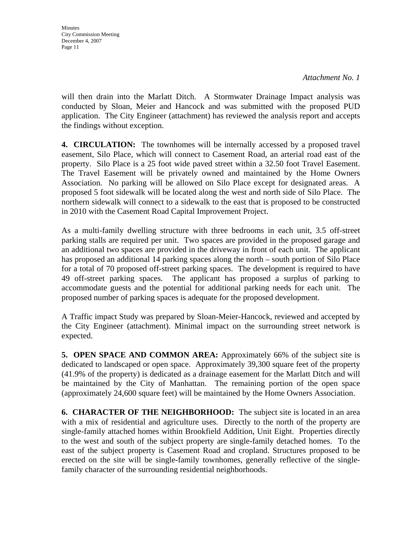*Attachment No. 1*

will then drain into the Marlatt Ditch. A Stormwater Drainage Impact analysis was conducted by Sloan, Meier and Hancock and was submitted with the proposed PUD application. The City Engineer (attachment) has reviewed the analysis report and accepts the findings without exception.

**4. CIRCULATION:** The townhomes will be internally accessed by a proposed travel easement, Silo Place, which will connect to Casement Road, an arterial road east of the property. Silo Place is a 25 foot wide paved street within a 32.50 foot Travel Easement. The Travel Easement will be privately owned and maintained by the Home Owners Association. No parking will be allowed on Silo Place except for designated areas. A proposed 5 foot sidewalk will be located along the west and north side of Silo Place. The northern sidewalk will connect to a sidewalk to the east that is proposed to be constructed in 2010 with the Casement Road Capital Improvement Project.

As a multi-family dwelling structure with three bedrooms in each unit, 3.5 off-street parking stalls are required per unit. Two spaces are provided in the proposed garage and an additional two spaces are provided in the driveway in front of each unit. The applicant has proposed an additional 14 parking spaces along the north – south portion of Silo Place for a total of 70 proposed off-street parking spaces. The development is required to have 49 off-street parking spaces. The applicant has proposed a surplus of parking to accommodate guests and the potential for additional parking needs for each unit. The proposed number of parking spaces is adequate for the proposed development.

A Traffic impact Study was prepared by Sloan-Meier-Hancock, reviewed and accepted by the City Engineer (attachment). Minimal impact on the surrounding street network is expected.

**5. OPEN SPACE AND COMMON AREA:** Approximately 66% of the subject site is dedicated to landscaped or open space. Approximately 39,300 square feet of the property (41.9% of the property) is dedicated as a drainage easement for the Marlatt Ditch and will be maintained by the City of Manhattan. The remaining portion of the open space (approximately 24,600 square feet) will be maintained by the Home Owners Association.

**6. CHARACTER OF THE NEIGHBORHOOD:** The subject site is located in an area with a mix of residential and agriculture uses. Directly to the north of the property are single-family attached homes within Brookfield Addition, Unit Eight. Properties directly to the west and south of the subject property are single-family detached homes. To the east of the subject property is Casement Road and cropland. Structures proposed to be erected on the site will be single-family townhomes, generally reflective of the singlefamily character of the surrounding residential neighborhoods.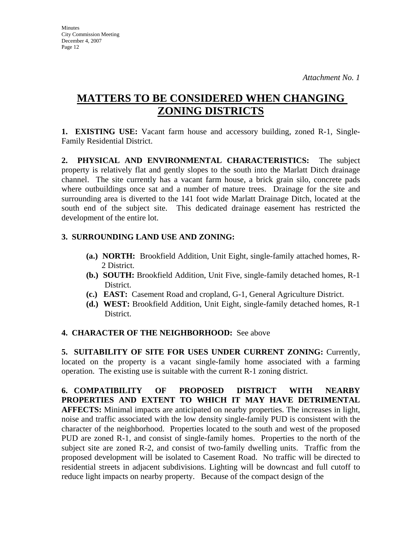# **MATTERS TO BE CONSIDERED WHEN CHANGING ZONING DISTRICTS**

**1. EXISTING USE:** Vacant farm house and accessory building, zoned R-1, Single-Family Residential District.

**2. PHYSICAL AND ENVIRONMENTAL CHARACTERISTICS:** The subject property is relatively flat and gently slopes to the south into the Marlatt Ditch drainage channel. The site currently has a vacant farm house, a brick grain silo, concrete pads where outbuildings once sat and a number of mature trees. Drainage for the site and surrounding area is diverted to the 141 foot wide Marlatt Drainage Ditch, located at the south end of the subject site. This dedicated drainage easement has restricted the development of the entire lot.

## **3. SURROUNDING LAND USE AND ZONING:**

- **(a.) NORTH:** Brookfield Addition, Unit Eight, single-family attached homes, R-2 District.
- **(b.) SOUTH:** Brookfield Addition, Unit Five, single-family detached homes, R-1 District.
- **(c.) EAST:** Casement Road and cropland, G-1, General Agriculture District.
- **(d.) WEST:** Brookfield Addition, Unit Eight, single-family detached homes, R-1 District.

## **4. CHARACTER OF THE NEIGHBORHOOD:** See above

**5. SUITABILITY OF SITE FOR USES UNDER CURRENT ZONING:** Currently, located on the property is a vacant single-family home associated with a farming operation. The existing use is suitable with the current R-1 zoning district.

**6. COMPATIBILITY OF PROPOSED DISTRICT WITH NEARBY PROPERTIES AND EXTENT TO WHICH IT MAY HAVE DETRIMENTAL AFFECTS:** Minimal impacts are anticipated on nearby properties. The increases in light, noise and traffic associated with the low density single-family PUD is consistent with the character of the neighborhood. Properties located to the south and west of the proposed PUD are zoned R-1, and consist of single-family homes. Properties to the north of the subject site are zoned R-2, and consist of two-family dwelling units. Traffic from the proposed development will be isolated to Casement Road. No traffic will be directed to residential streets in adjacent subdivisions. Lighting will be downcast and full cutoff to reduce light impacts on nearby property. Because of the compact design of the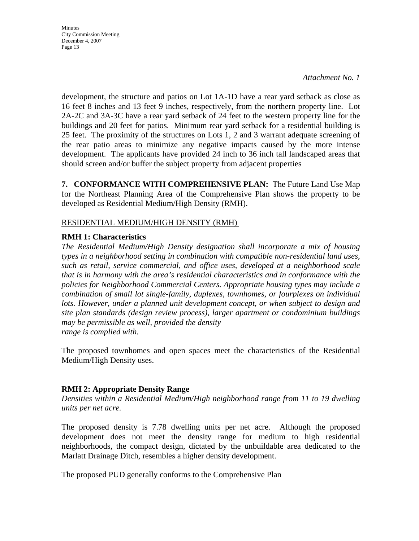*Attachment No. 1*

development, the structure and patios on Lot 1A-1D have a rear yard setback as close as 16 feet 8 inches and 13 feet 9 inches, respectively, from the northern property line. Lot 2A-2C and 3A-3C have a rear yard setback of 24 feet to the western property line for the buildings and 20 feet for patios. Minimum rear yard setback for a residential building is 25 feet. The proximity of the structures on Lots 1, 2 and 3 warrant adequate screening of the rear patio areas to minimize any negative impacts caused by the more intense development. The applicants have provided 24 inch to 36 inch tall landscaped areas that should screen and/or buffer the subject property from adjacent properties

**7. CONFORMANCE WITH COMPREHENSIVE PLAN:** The Future Land Use Map for the Northeast Planning Area of the Comprehensive Plan shows the property to be developed as Residential Medium/High Density (RMH).

## RESIDENTIAL MEDIUM/HIGH DENSITY (RMH)

## **RMH 1: Characteristics**

*The Residential Medium/High Density designation shall incorporate a mix of housing types in a neighborhood setting in combination with compatible non-residential land uses, such as retail, service commercial, and office uses, developed at a neighborhood scale that is in harmony with the area's residential characteristics and in conformance with the policies for Neighborhood Commercial Centers. Appropriate housing types may include a combination of small lot single-family, duplexes, townhomes, or fourplexes on individual*  lots. However, under a planned unit development concept, or when subject to design and *site plan standards (design review process), larger apartment or condominium buildings may be permissible as well, provided the density range is complied with.* 

The proposed townhomes and open spaces meet the characteristics of the Residential Medium/High Density uses.

## **RMH 2: Appropriate Density Range**

*Densities within a Residential Medium/High neighborhood range from 11 to 19 dwelling units per net acre.* 

The proposed density is 7.78 dwelling units per net acre. Although the proposed development does not meet the density range for medium to high residential neighborhoods, the compact design, dictated by the unbuildable area dedicated to the Marlatt Drainage Ditch, resembles a higher density development.

The proposed PUD generally conforms to the Comprehensive Plan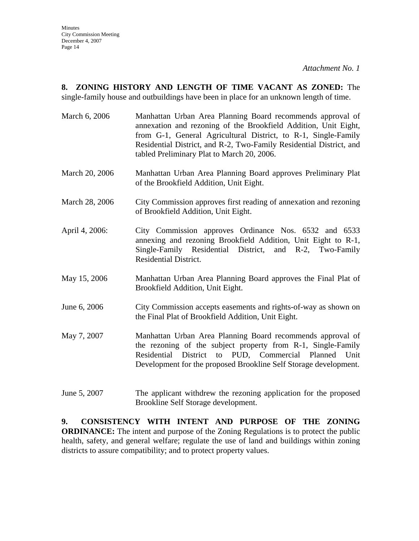**8. ZONING HISTORY AND LENGTH OF TIME VACANT AS ZONED:** The single-family house and outbuildings have been in place for an unknown length of time.

- March 6, 2006 Manhattan Urban Area Planning Board recommends approval of annexation and rezoning of the Brookfield Addition, Unit Eight, from G-1, General Agricultural District, to R-1, Single-Family Residential District, and R-2, Two-Family Residential District, and tabled Preliminary Plat to March 20, 2006.
- March 20, 2006 Manhattan Urban Area Planning Board approves Preliminary Plat of the Brookfield Addition, Unit Eight.
- March 28, 2006 City Commission approves first reading of annexation and rezoning of Brookfield Addition, Unit Eight.
- April 4, 2006: City Commission approves Ordinance Nos. 6532 and 6533 annexing and rezoning Brookfield Addition, Unit Eight to R-1, Single-Family Residential District, and R-2, Two-Family Residential District.
- May 15, 2006 Manhattan Urban Area Planning Board approves the Final Plat of Brookfield Addition, Unit Eight.
- June 6, 2006 City Commission accepts easements and rights-of-way as shown on the Final Plat of Brookfield Addition, Unit Eight.
- May 7, 2007 Manhattan Urban Area Planning Board recommends approval of the rezoning of the subject property from R-1, Single-Family Residential District to PUD, Commercial Planned Unit Development for the proposed Brookline Self Storage development.
- June 5, 2007 The applicant withdrew the rezoning application for the proposed Brookline Self Storage development.

**9. CONSISTENCY WITH INTENT AND PURPOSE OF THE ZONING ORDINANCE:** The intent and purpose of the Zoning Regulations is to protect the public health, safety, and general welfare; regulate the use of land and buildings within zoning districts to assure compatibility; and to protect property values.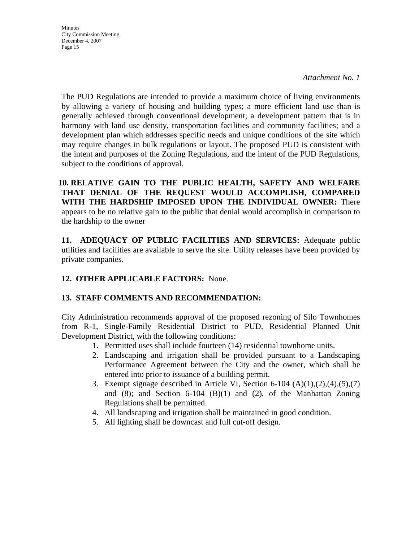*Attachment No. 1*

The PUD Regulations are intended to provide a maximum choice of living environments by allowing a variety of housing and building types; a more efficient land use than is generally achieved through conventional development; a development pattern that is in harmony with land use density, transportation facilities and community facilities; and a development plan which addresses specific needs and unique conditions of the site which may require changes in bulk regulations or layout. The proposed PUD is consistent with the intent and purposes of the Zoning Regulations, and the intent of the PUD Regulations, subject to the conditions of approval.

**10. RELATIVE GAIN TO THE PUBLIC HEALTH, SAFETY AND WELFARE THAT DENIAL OF THE REQUEST WOULD ACCOMPLISH, COMPARED WITH THE HARDSHIP IMPOSED UPON THE INDIVIDUAL OWNER:** There appears to be no relative gain to the public that denial would accomplish in comparison to the hardship to the owner

**11. ADEQUACY OF PUBLIC FACILITIES AND SERVICES:** Adequate public utilities and facilities are available to serve the site. Utility releases have been provided by private companies.

## **12. OTHER APPLICABLE FACTORS:** None.

## **13. STAFF COMMENTS AND RECOMMENDATION:**

City Administration recommends approval of the proposed rezoning of Silo Townhomes from R-1, Single-Family Residential District to PUD, Residential Planned Unit Development District, with the following conditions:

- 1. Permitted uses shall include fourteen (14) residential townhome units.
- 2. Landscaping and irrigation shall be provided pursuant to a Landscaping Performance Agreement between the City and the owner, which shall be entered into prior to issuance of a building permit.
- 3. Exempt signage described in Article VI, Section 6-104  $(A)(1),(2),(4),(5),(7)$ and  $(8)$ ; and Section  $6-104$   $(B)(1)$  and  $(2)$ , of the Manhattan Zoning Regulations shall be permitted.
- 4. All landscaping and irrigation shall be maintained in good condition.
- 5. All lighting shall be downcast and full cut-off design.